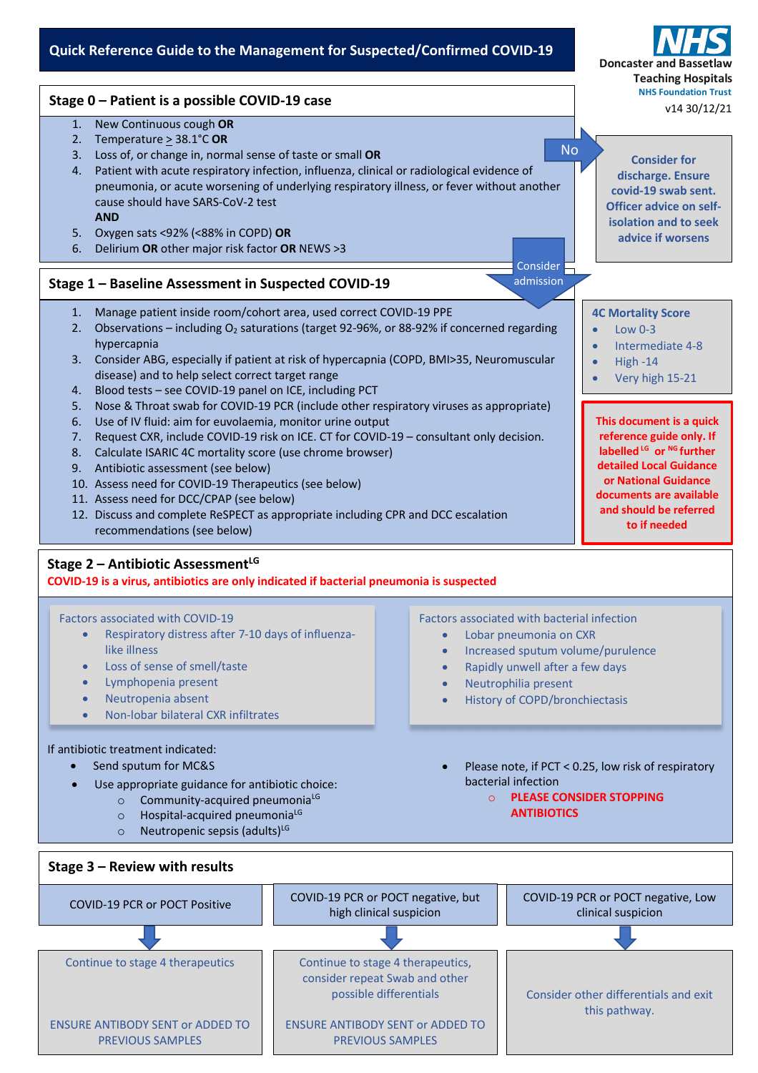## **Quick Reference Guide to the Management for Suspected/Confirmed COVID-19**

**Stage 1 – Baseline Assessment in Suspected COVID-19** 1. New Continuous cough **OR** 2. Temperature > 38.1°C **OR** 3. Loss of, or change in, normal sense of taste or small **OR** 4. Patient with acute respiratory infection, influenza, clinical or radiological evidence of pneumonia, or acute worsening of underlying respiratory illness, or fever without another cause should have SARS-CoV-2 test **AND** 5. Oxygen sats <92% (<88% in COPD) **OR** 6. Delirium **OR** other major risk factor **OR** NEWS >3 **Consider for discharge. Ensure covid-19 swab sent. Officer advice on selfisolation and to seek advice if worsens** No 1. Manage patient inside room/cohort area, used correct COVID-19 PPE 2. Observations – including O<sub>2</sub> saturations (target 92-96%, or 88-92% if concerned regarding hypercapnia 3. Consider ABG, especially if patient at risk of hypercapnia (COPD, BMI>35, Neuromuscular disease) and to help select correct target range 4. Blood tests – see COVID-19 panel on ICE, including PCT 5. Nose & Throat swab for COVID-19 PCR (include other respiratory viruses as appropriate) 6. Use of IV fluid: aim for euvolaemia, monitor urine output 7. Request CXR, include COVID-19 risk on ICE. CT for COVID-19 – consultant only decision. 8. Calculate ISARIC 4C mortality score (use chrome browser) 9. Antibiotic assessment (see below) 10. Assess need for COVID-19 Therapeutics (see below) 11. Assess need for DCC/CPAP (see below) 12. Discuss and complete ReSPECT as appropriate including CPR and DCC escalation recommendations (see below) **Stage 2 – Antibiotic Assessment<sup>LG</sup> COVID-19 is a virus, antibiotics are only indicated if bacterial pneumonia is suspected 4C Mortality Score**  $\bullet$  Low 0-3 • Intermediate 4-8 • High -14 • Very high 15-21 **Doncaster and Teaching Hospitals NHS Foundation Trust Stage 0 – Patient is a possible COVID-19 case** Consider admission v14 30/12/21 **This document is a quick reference guide only. If labelled LG or NG further detailed Local Guidance or National Guidance documents are available and should be referred to if needed**

Factors associated with COVID-19

- Respiratory distress after 7-10 days of influenzalike illness
- Loss of sense of smell/taste
- Lymphopenia present
- Neutropenia absent
- Non-lobar bilateral CXR infiltrates

## If antibiotic treatment indicated:

- Send sputum for MC&S
- Use appropriate guidance for antibiotic choice:
	- o Community-acquired pneumonia<sup>LG</sup>
	- $\circ$  Hospital-acquired pneumonia<sup>LG</sup>
	- $\circ$  Neutropenic sepsis (adults)<sup>LG</sup>
- Factors associated with bacterial infection
	- Lobar pneumonia on CXR
	- Increased sputum volume/purulence
	- Rapidly unwell after a few days
	- Neutrophilia present
	- History of COPD/bronchiectasis
	- Please note, if PCT < 0.25, low risk of respiratory bacterial infection
		- o **PLEASE CONSIDER STOPPING ANTIBIOTICS**